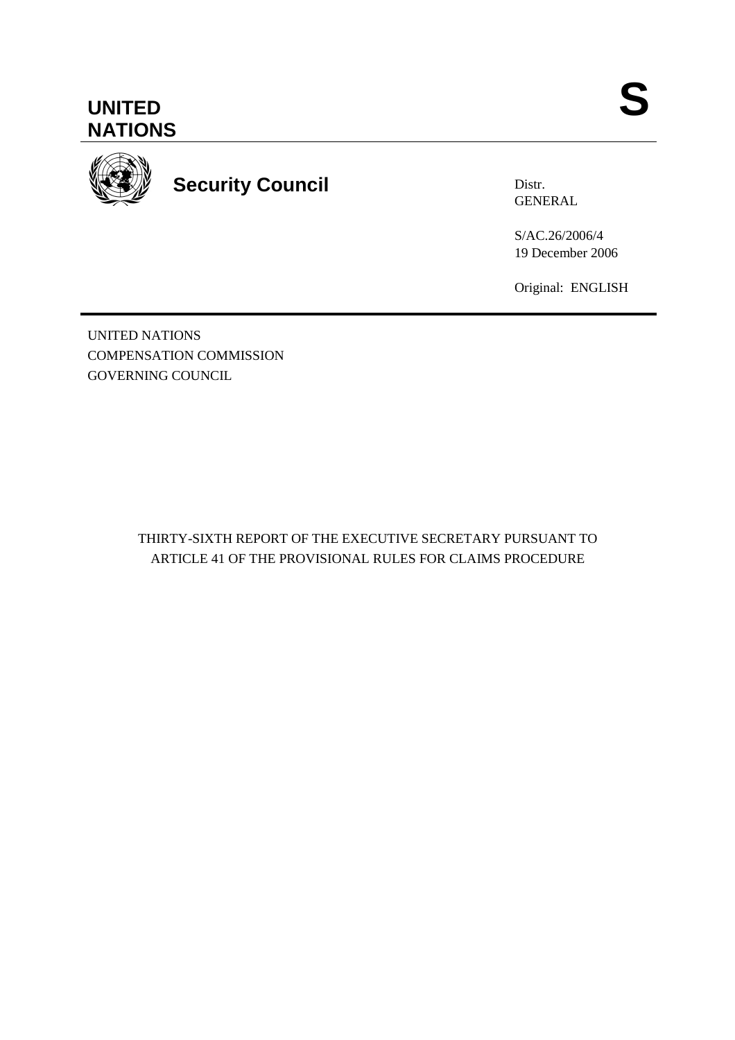



**Security Council** 

Distr. GENERAL

S/AC.26/2006/4 19 December 2006

Original: ENGLISH

UNITED NATIONS COMPENSATION COMMISSION GOVERNING COUNCIL

> THIRTY-SIXTH REPORT OF THE EXECUTIVE SECRETARY PURSUANT TO ARTICLE 41 OF THE PROVISIONAL RULES FOR CLAIMS PROCEDURE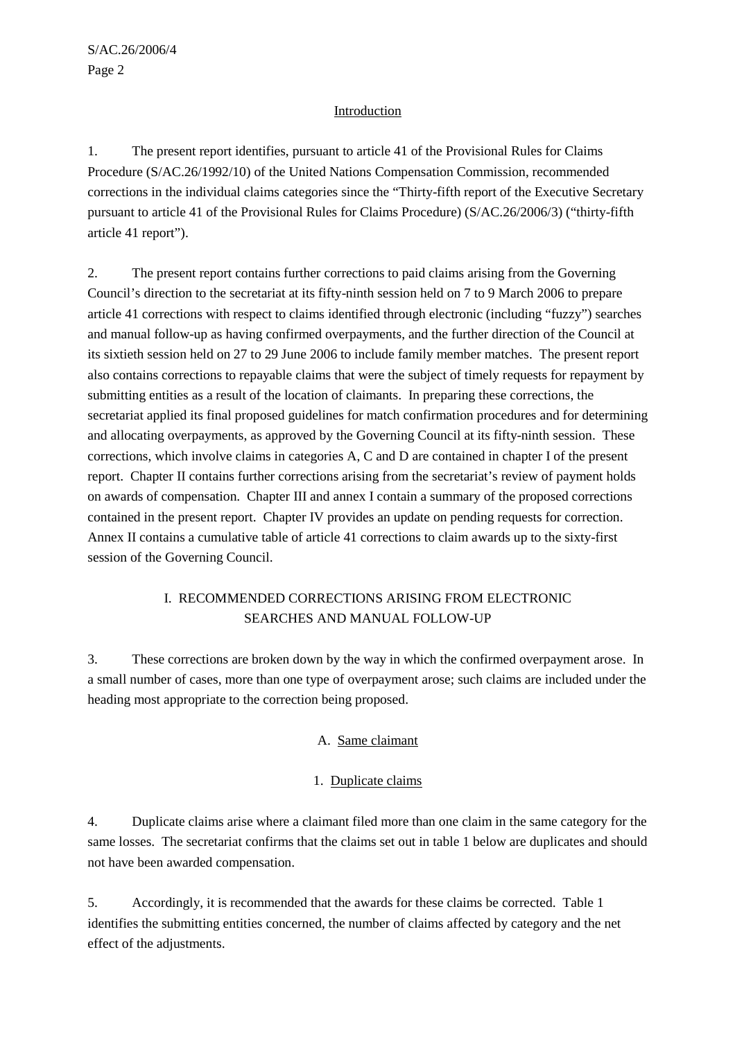## Introduction

1. The present report identifies, pursuant to article 41 of the Provisional Rules for Claims Procedure (S/AC.26/1992/10) of the United Nations Compensation Commission, recommended corrections in the individual claims categories since the "Thirty-fifth report of the Executive Secretary pursuant to article 41 of the Provisional Rules for Claims Procedure) (S/AC.26/2006/3) ("thirty-fifth article 41 report").

2. The present report contains further corrections to paid claims arising from the Governing Council's direction to the secretariat at its fifty-ninth session held on 7 to 9 March 2006 to prepare article 41 corrections with respect to claims identified through electronic (including "fuzzy") searches and manual follow-up as having confirmed overpayments, and the further direction of the Council at its sixtieth session held on 27 to 29 June 2006 to include family member matches. The present report also contains corrections to repayable claims that were the subject of timely requests for repayment by submitting entities as a result of the location of claimants. In preparing these corrections, the secretariat applied its final proposed guidelines for match confirmation procedures and for determining and allocating overpayments, as approved by the Governing Council at its fifty-ninth session. These corrections, which involve claims in categories A, C and D are contained in chapter I of the present report. Chapter II contains further corrections arising from the secretariat's review of payment holds on awards of compensation. Chapter III and annex I contain a summary of the proposed corrections contained in the present report. Chapter IV provides an update on pending requests for correction. Annex II contains a cumulative table of article 41 corrections to claim awards up to the sixty-first session of the Governing Council.

# I. RECOMMENDED CORRECTIONS ARISING FROM ELECTRONIC SEARCHES AND MANUAL FOLLOW-UP

3. These corrections are broken down by the way in which the confirmed overpayment arose. In a small number of cases, more than one type of overpayment arose; such claims are included under the heading most appropriate to the correction being proposed.

# A. Same claimant

# 1. Duplicate claims

4. Duplicate claims arise where a claimant filed more than one claim in the same category for the same losses. The secretariat confirms that the claims set out in table 1 below are duplicates and should not have been awarded compensation.

5. Accordingly, it is recommended that the awards for these claims be corrected. Table 1 identifies the submitting entities concerned, the number of claims affected by category and the net effect of the adjustments.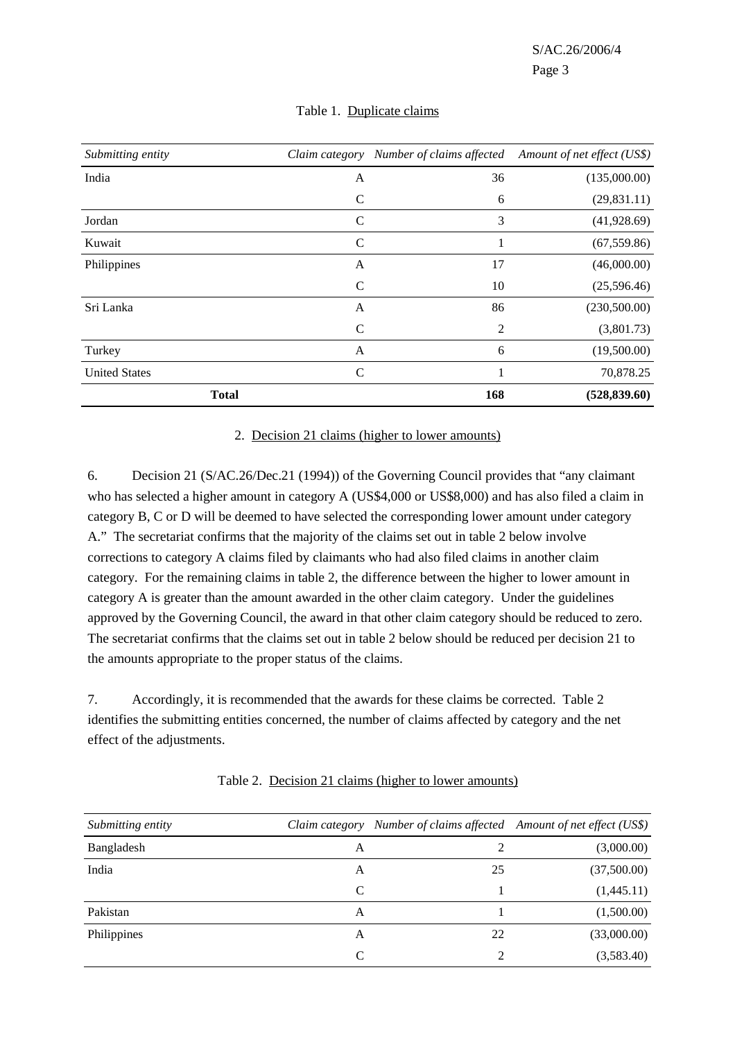| Submitting entity    | Claim category | Number of claims affected | Amount of net effect (US\$) |
|----------------------|----------------|---------------------------|-----------------------------|
| India                | A              | 36                        | (135,000.00)                |
|                      | $\mathcal{C}$  | 6                         | (29, 831.11)                |
| Jordan               | $\mathsf{C}$   | 3                         | (41,928.69)                 |
| Kuwait               | $\mathcal{C}$  | 1                         | (67, 559.86)                |
| Philippines          | A              | 17                        | (46,000.00)                 |
|                      | $\mathcal{C}$  | 10                        | (25,596.46)                 |
| Sri Lanka            | A              | 86                        | (230,500.00)                |
|                      | $\mathsf{C}$   | 2                         | (3,801.73)                  |
| Turkey               | A              | 6                         | (19,500.00)                 |
| <b>United States</b> | $\mathcal{C}$  | 1                         | 70,878.25                   |
| <b>Total</b>         |                | 168                       | (528, 839.60)               |

#### Table 1. Duplicate claims

#### 2. Decision 21 claims (higher to lower amounts)

6. Decision 21 (S/AC.26/Dec.21 (1994)) of the Governing Council provides that "any claimant who has selected a higher amount in category A (US\$4,000 or US\$8,000) and has also filed a claim in category B, C or D will be deemed to have selected the corresponding lower amount under category A." The secretariat confirms that the majority of the claims set out in table 2 below involve corrections to category A claims filed by claimants who had also filed claims in another claim category. For the remaining claims in table 2, the difference between the higher to lower amount in category A is greater than the amount awarded in the other claim category. Under the guidelines approved by the Governing Council, the award in that other claim category should be reduced to zero. The secretariat confirms that the claims set out in table 2 below should be reduced per decision 21 to the amounts appropriate to the proper status of the claims.

7. Accordingly, it is recommended that the awards for these claims be corrected. Table 2 identifies the submitting entities concerned, the number of claims affected by category and the net effect of the adjustments.

| Submitting entity |   | Claim category Number of claims affected Amount of net effect (US\$) |             |
|-------------------|---|----------------------------------------------------------------------|-------------|
| Bangladesh        | A |                                                                      | (3,000.00)  |
| India             | A | 25                                                                   | (37,500.00) |
|                   | C |                                                                      | (1,445.11)  |
| Pakistan          | A |                                                                      | (1,500.00)  |
| Philippines       | A | 22                                                                   | (33,000.00) |
|                   | C |                                                                      | (3,583.40)  |

Table 2. Decision 21 claims (higher to lower amounts)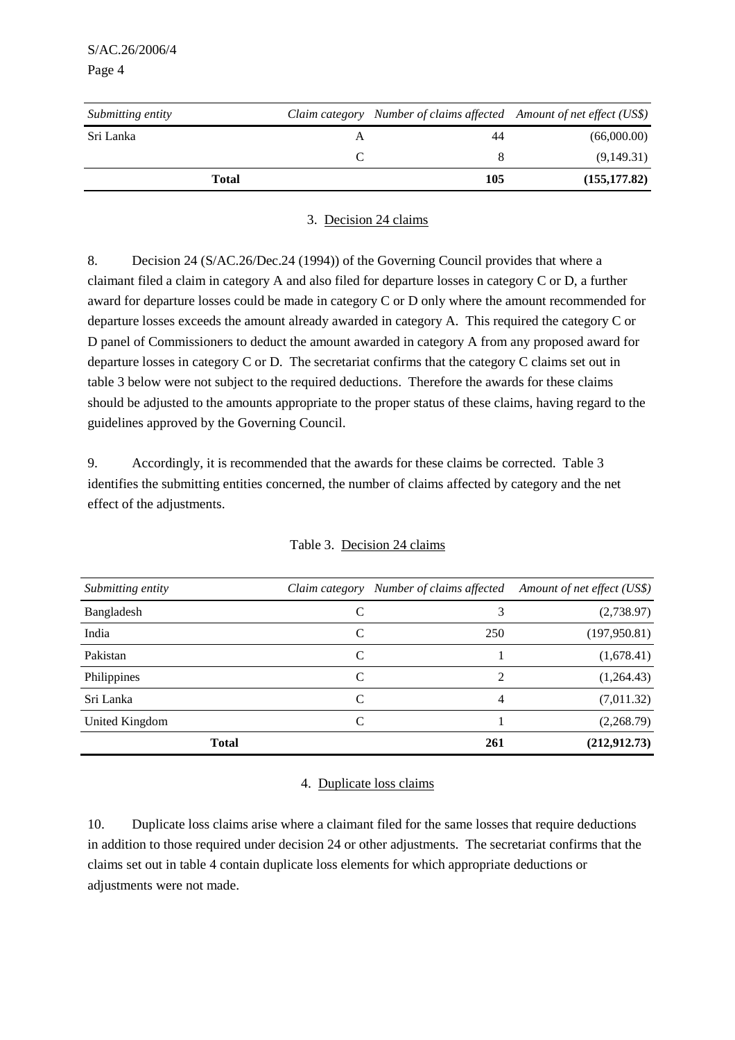| Submitting entity |     | Claim category Number of claims affected Amount of net effect (US\$) |
|-------------------|-----|----------------------------------------------------------------------|
| Sri Lanka         | 44  | (66,000.00)                                                          |
|                   |     | (9,149.31)                                                           |
| Total             | 105 | (155, 177, 82)                                                       |

#### 3. Decision 24 claims

8. Decision 24 (S/AC.26/Dec.24 (1994)) of the Governing Council provides that where a claimant filed a claim in category A and also filed for departure losses in category C or D, a further award for departure losses could be made in category C or D only where the amount recommended for departure losses exceeds the amount already awarded in category A. This required the category C or D panel of Commissioners to deduct the amount awarded in category A from any proposed award for departure losses in category C or D. The secretariat confirms that the category C claims set out in table 3 below were not subject to the required deductions. Therefore the awards for these claims should be adjusted to the amounts appropriate to the proper status of these claims, having regard to the guidelines approved by the Governing Council.

9. Accordingly, it is recommended that the awards for these claims be corrected. Table 3 identifies the submitting entities concerned, the number of claims affected by category and the net effect of the adjustments.

| Submitting entity | Claim category | Number of claims affected   | Amount of net effect (US\$) |
|-------------------|----------------|-----------------------------|-----------------------------|
| Bangladesh        | C              | 3                           | (2,738.97)                  |
| India             | C              | 250                         | (197,950.81)                |
| Pakistan          | C              |                             | (1,678.41)                  |
| Philippines       | C              | $\mathcal{D}_{\mathcal{L}}$ | (1,264.43)                  |
| Sri Lanka         | C              | 4                           | (7,011.32)                  |
| United Kingdom    | C              |                             | (2,268.79)                  |
| <b>Total</b>      |                | 261                         | (212, 912, 73)              |

#### 4. Duplicate loss claims

10. Duplicate loss claims arise where a claimant filed for the same losses that require deductions in addition to those required under decision 24 or other adjustments. The secretariat confirms that the claims set out in table 4 contain duplicate loss elements for which appropriate deductions or adjustments were not made.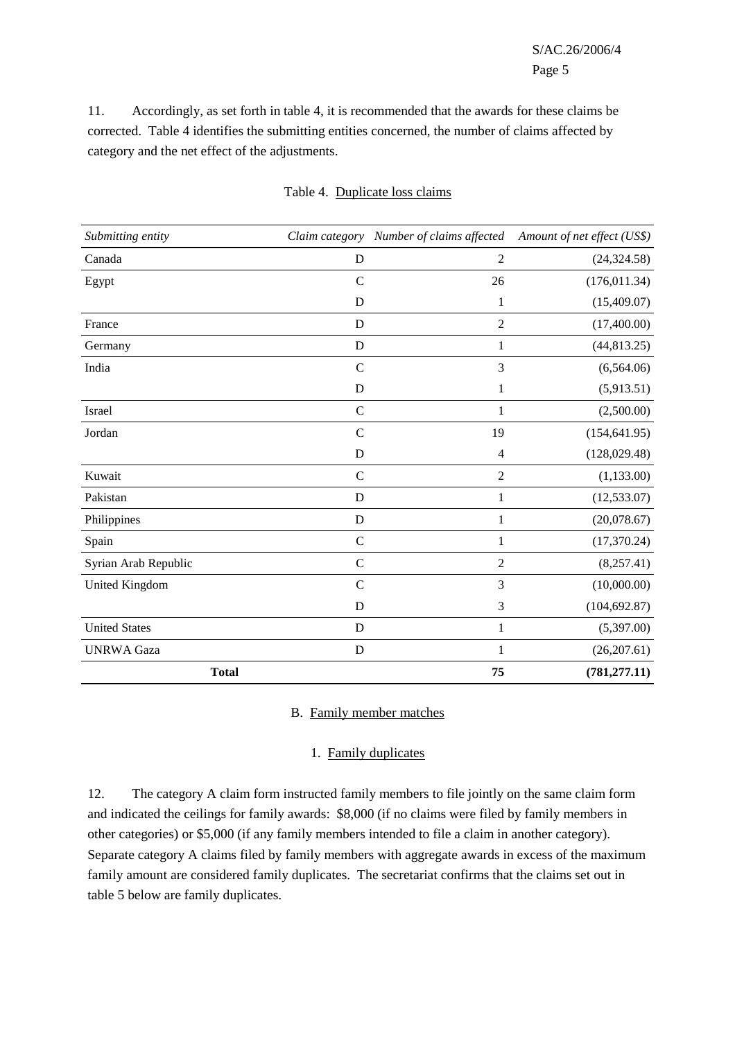11. Accordingly, as set forth in table 4, it is recommended that the awards for these claims be corrected. Table 4 identifies the submitting entities concerned, the number of claims affected by category and the net effect of the adjustments.

| Submitting entity    |               | Claim category Number of claims affected | Amount of net effect (US\$) |
|----------------------|---------------|------------------------------------------|-----------------------------|
| Canada               | D             | $\overline{2}$                           | (24, 324.58)                |
| Egypt                | $\mathcal{C}$ | 26                                       | (176, 011.34)               |
|                      | D             | 1                                        | (15,409.07)                 |
| France               | D             | $\overline{2}$                           | (17,400.00)                 |
| Germany              | D             | 1                                        | (44, 813.25)                |
| India                | $\mathcal{C}$ | 3                                        | (6,564.06)                  |
|                      | $\mathbf D$   | 1                                        | (5,913.51)                  |
| Israel               | $\mathcal{C}$ | $\mathbf{1}$                             | (2,500.00)                  |
| Jordan               | $\mathcal{C}$ | 19                                       | (154, 641.95)               |
|                      | D             | 4                                        | (128, 029.48)               |
| Kuwait               | $\mathcal{C}$ | $\mathfrak{2}$                           | (1, 133.00)                 |
| Pakistan             | D             | $\mathbf{1}$                             | (12, 533.07)                |
| Philippines          | $\mathbf D$   | $\mathbf{1}$                             | (20,078.67)                 |
| Spain                | $\mathcal{C}$ | 1                                        | (17,370.24)                 |
| Syrian Arab Republic | $\mathbf C$   | $\overline{2}$                           | (8,257.41)                  |
| United Kingdom       | $\mathcal{C}$ | 3                                        | (10,000.00)                 |
|                      | D             | 3                                        | (104, 692.87)               |
| <b>United States</b> | D             | 1                                        | (5,397.00)                  |
| <b>UNRWA</b> Gaza    | ${\bf D}$     | $\mathbf{1}$                             | (26,207.61)                 |
| <b>Total</b>         |               | 75                                       | (781, 277.11)               |

#### Table 4. Duplicate loss claims

#### B. Family member matches

#### 1. Family duplicates

12. The category A claim form instructed family members to file jointly on the same claim form and indicated the ceilings for family awards: \$8,000 (if no claims were filed by family members in other categories) or \$5,000 (if any family members intended to file a claim in another category). Separate category A claims filed by family members with aggregate awards in excess of the maximum family amount are considered family duplicates. The secretariat confirms that the claims set out in table 5 below are family duplicates.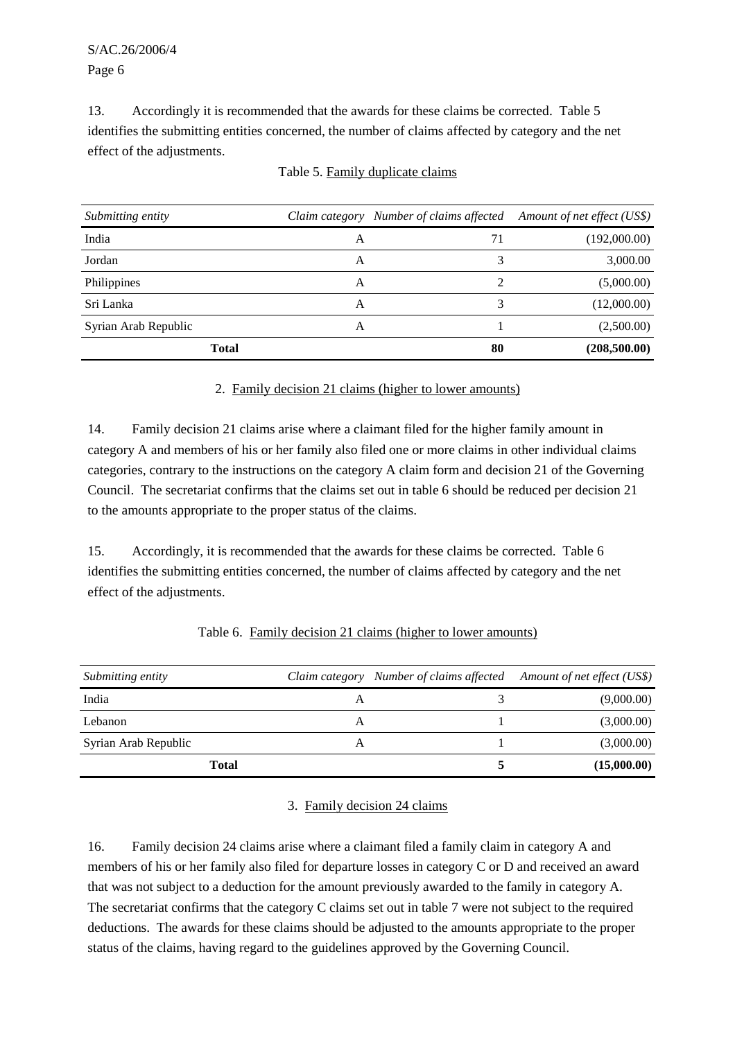13. Accordingly it is recommended that the awards for these claims be corrected. Table 5 identifies the submitting entities concerned, the number of claims affected by category and the net effect of the adjustments.

| Submitting entity    |   | Claim category Number of claims affected Amount of net effect (US\$) |              |
|----------------------|---|----------------------------------------------------------------------|--------------|
| India                | A | 71                                                                   | (192,000.00) |
| Jordan               | A |                                                                      | 3,000.00     |
| Philippines          | А | 2                                                                    | (5,000.00)   |
| Sri Lanka            | A |                                                                      | (12,000.00)  |
| Syrian Arab Republic | А |                                                                      | (2,500.00)   |
| <b>Total</b>         |   | 80                                                                   | (208,500.00) |

#### Table 5. Family duplicate claims

### 2. Family decision 21 claims (higher to lower amounts)

14. Family decision 21 claims arise where a claimant filed for the higher family amount in category A and members of his or her family also filed one or more claims in other individual claims categories, contrary to the instructions on the category A claim form and decision 21 of the Governing Council. The secretariat confirms that the claims set out in table 6 should be reduced per decision 21 to the amounts appropriate to the proper status of the claims.

15. Accordingly, it is recommended that the awards for these claims be corrected. Table 6 identifies the submitting entities concerned, the number of claims affected by category and the net effect of the adjustments.

| Submitting entity    |   | Claim category Number of claims affected Amount of net effect (US\$) |             |
|----------------------|---|----------------------------------------------------------------------|-------------|
| India                | A |                                                                      | (9,000.00)  |
| Lebanon              | A |                                                                      | (3,000.00)  |
| Syrian Arab Republic | А |                                                                      | (3,000.00)  |
| <b>Total</b>         |   |                                                                      | (15,000.00) |

# Table 6. Family decision 21 claims (higher to lower amounts)

#### 3. Family decision 24 claims

16. Family decision 24 claims arise where a claimant filed a family claim in category A and members of his or her family also filed for departure losses in category C or D and received an award that was not subject to a deduction for the amount previously awarded to the family in category A. The secretariat confirms that the category C claims set out in table 7 were not subject to the required deductions. The awards for these claims should be adjusted to the amounts appropriate to the proper status of the claims, having regard to the guidelines approved by the Governing Council.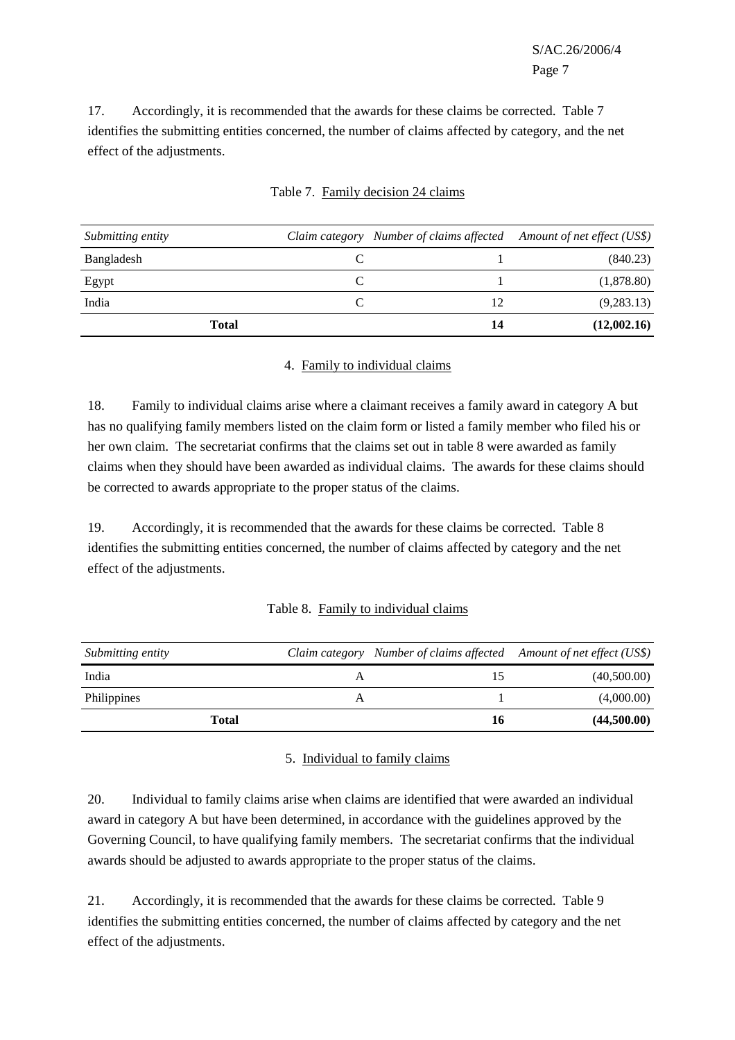S/AC.26/2006/4 Page 7

17. Accordingly, it is recommended that the awards for these claims be corrected. Table 7 identifies the submitting entities concerned, the number of claims affected by category, and the net effect of the adjustments.

| Submitting entity | Claim category Number of claims affected Amount of net effect (US\$) |             |
|-------------------|----------------------------------------------------------------------|-------------|
| Bangladesh        |                                                                      | (840.23)    |
| Egypt             |                                                                      | (1,878.80)  |
| India             | 12                                                                   | (9, 283.13) |
| Total             | 14                                                                   | (12,002.16) |

## Table 7. Family decision 24 claims

#### 4. Family to individual claims

18. Family to individual claims arise where a claimant receives a family award in category A but has no qualifying family members listed on the claim form or listed a family member who filed his or her own claim. The secretariat confirms that the claims set out in table 8 were awarded as family claims when they should have been awarded as individual claims. The awards for these claims should be corrected to awards appropriate to the proper status of the claims.

19. Accordingly, it is recommended that the awards for these claims be corrected. Table 8 identifies the submitting entities concerned, the number of claims affected by category and the net effect of the adjustments.

#### Table 8. Family to individual claims

| Submitting entity |   |    | Claim category Number of claims affected Amount of net effect (US\$) |
|-------------------|---|----|----------------------------------------------------------------------|
| India             | A |    | (40,500.00)                                                          |
| Philippines       | A |    | (4,000.00)                                                           |
| Total             |   | 16 | (44,500.00)                                                          |

#### 5. Individual to family claims

20. Individual to family claims arise when claims are identified that were awarded an individual award in category A but have been determined, in accordance with the guidelines approved by the Governing Council, to have qualifying family members. The secretariat confirms that the individual awards should be adjusted to awards appropriate to the proper status of the claims.

21. Accordingly, it is recommended that the awards for these claims be corrected. Table 9 identifies the submitting entities concerned, the number of claims affected by category and the net effect of the adjustments.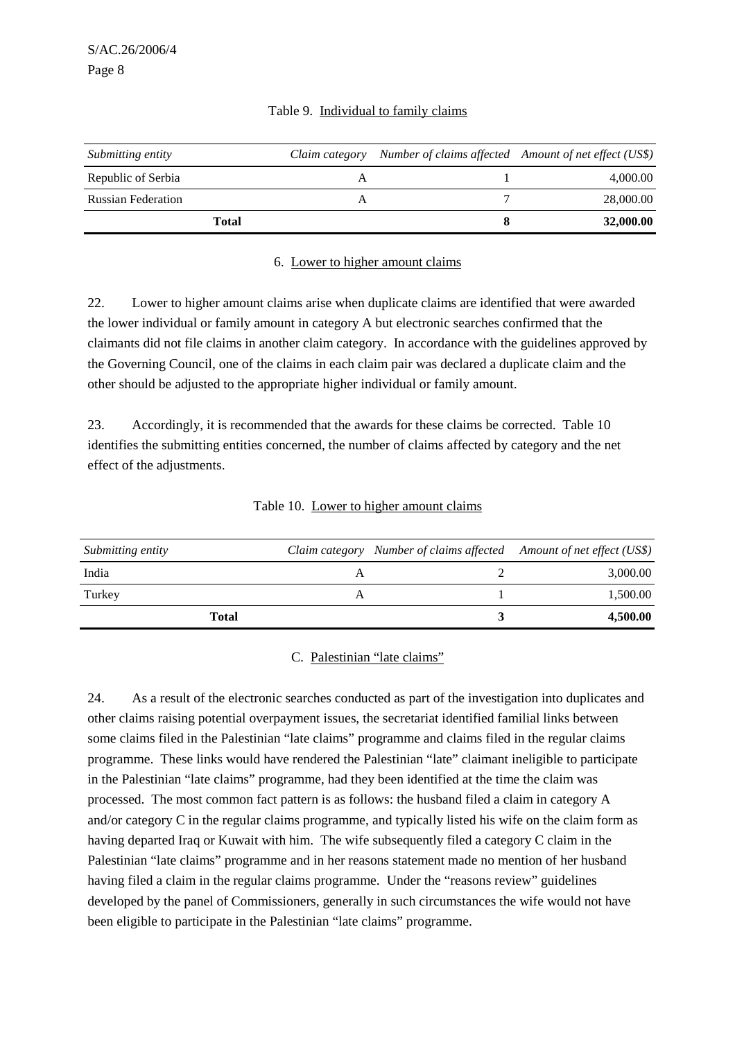| Submitting entity         | Claim category Number of claims affected Amount of net effect (US\$) |           |
|---------------------------|----------------------------------------------------------------------|-----------|
| Republic of Serbia        |                                                                      | 4,000.00  |
| <b>Russian Federation</b> |                                                                      | 28,000.00 |
| Total                     |                                                                      | 32,000.00 |

#### Table 9. Individual to family claims

#### 6. Lower to higher amount claims

22. Lower to higher amount claims arise when duplicate claims are identified that were awarded the lower individual or family amount in category A but electronic searches confirmed that the claimants did not file claims in another claim category. In accordance with the guidelines approved by the Governing Council, one of the claims in each claim pair was declared a duplicate claim and the other should be adjusted to the appropriate higher individual or family amount.

23. Accordingly, it is recommended that the awards for these claims be corrected. Table 10 identifies the submitting entities concerned, the number of claims affected by category and the net effect of the adjustments.

| Submitting entity | Claim category Number of claims affected Amount of net effect (US\$) |          |
|-------------------|----------------------------------------------------------------------|----------|
| India             |                                                                      | 3,000.00 |
| Turkey            |                                                                      | 1,500.00 |
| Total             |                                                                      | 4,500.00 |

#### Table 10. Lower to higher amount claims

#### C. Palestinian "late claims"

24. As a result of the electronic searches conducted as part of the investigation into duplicates and other claims raising potential overpayment issues, the secretariat identified familial links between some claims filed in the Palestinian "late claims" programme and claims filed in the regular claims programme. These links would have rendered the Palestinian "late" claimant ineligible to participate in the Palestinian "late claims" programme, had they been identified at the time the claim was processed. The most common fact pattern is as follows: the husband filed a claim in category A and/or category C in the regular claims programme, and typically listed his wife on the claim form as having departed Iraq or Kuwait with him. The wife subsequently filed a category C claim in the Palestinian "late claims" programme and in her reasons statement made no mention of her husband having filed a claim in the regular claims programme. Under the "reasons review" guidelines developed by the panel of Commissioners, generally in such circumstances the wife would not have been eligible to participate in the Palestinian "late claims" programme.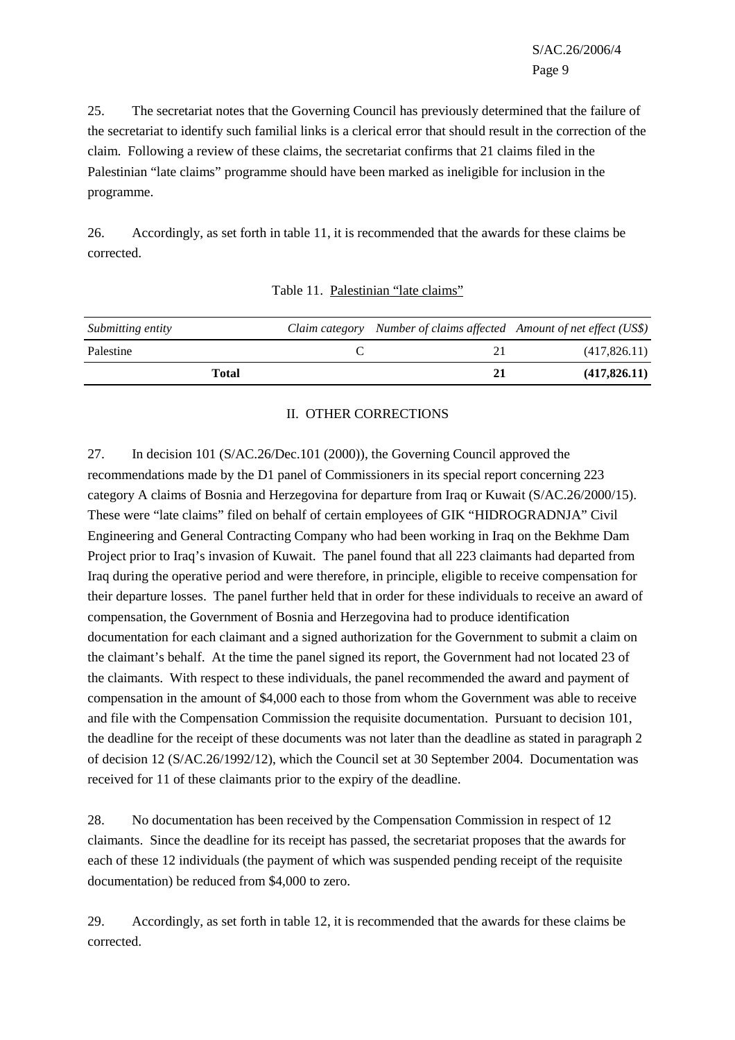S/AC.26/2006/4 Page 9

25. The secretariat notes that the Governing Council has previously determined that the failure of the secretariat to identify such familial links is a clerical error that should result in the correction of the claim. Following a review of these claims, the secretariat confirms that 21 claims filed in the Palestinian "late claims" programme should have been marked as ineligible for inclusion in the programme.

26. Accordingly, as set forth in table 11, it is recommended that the awards for these claims be corrected.

| Submitting entity |  | Claim category Number of claims affected Amount of net effect (US\$) |
|-------------------|--|----------------------------------------------------------------------|
| Palestine         |  | (417,826.11)                                                         |
| Total             |  | (417,826,11)                                                         |

| Table 11. Palestinian "late claims" |  |
|-------------------------------------|--|
|                                     |  |

#### II. OTHER CORRECTIONS

27. In decision 101 (S/AC.26/Dec.101 (2000)), the Governing Council approved the recommendations made by the D1 panel of Commissioners in its special report concerning 223 category A claims of Bosnia and Herzegovina for departure from Iraq or Kuwait (S/AC.26/2000/15). These were "late claims" filed on behalf of certain employees of GIK "HIDROGRADNJA" Civil Engineering and General Contracting Company who had been working in Iraq on the Bekhme Dam Project prior to Iraq's invasion of Kuwait. The panel found that all 223 claimants had departed from Iraq during the operative period and were therefore, in principle, eligible to receive compensation for their departure losses. The panel further held that in order for these individuals to receive an award of compensation, the Government of Bosnia and Herzegovina had to produce identification documentation for each claimant and a signed authorization for the Government to submit a claim on the claimant's behalf. At the time the panel signed its report, the Government had not located 23 of the claimants. With respect to these individuals, the panel recommended the award and payment of compensation in the amount of \$4,000 each to those from whom the Government was able to receive and file with the Compensation Commission the requisite documentation. Pursuant to decision 101, the deadline for the receipt of these documents was not later than the deadline as stated in paragraph 2 of decision 12 (S/AC.26/1992/12), which the Council set at 30 September 2004. Documentation was received for 11 of these claimants prior to the expiry of the deadline.

28. No documentation has been received by the Compensation Commission in respect of 12 claimants. Since the deadline for its receipt has passed, the secretariat proposes that the awards for each of these 12 individuals (the payment of which was suspended pending receipt of the requisite documentation) be reduced from \$4,000 to zero.

29. Accordingly, as set forth in table 12, it is recommended that the awards for these claims be corrected.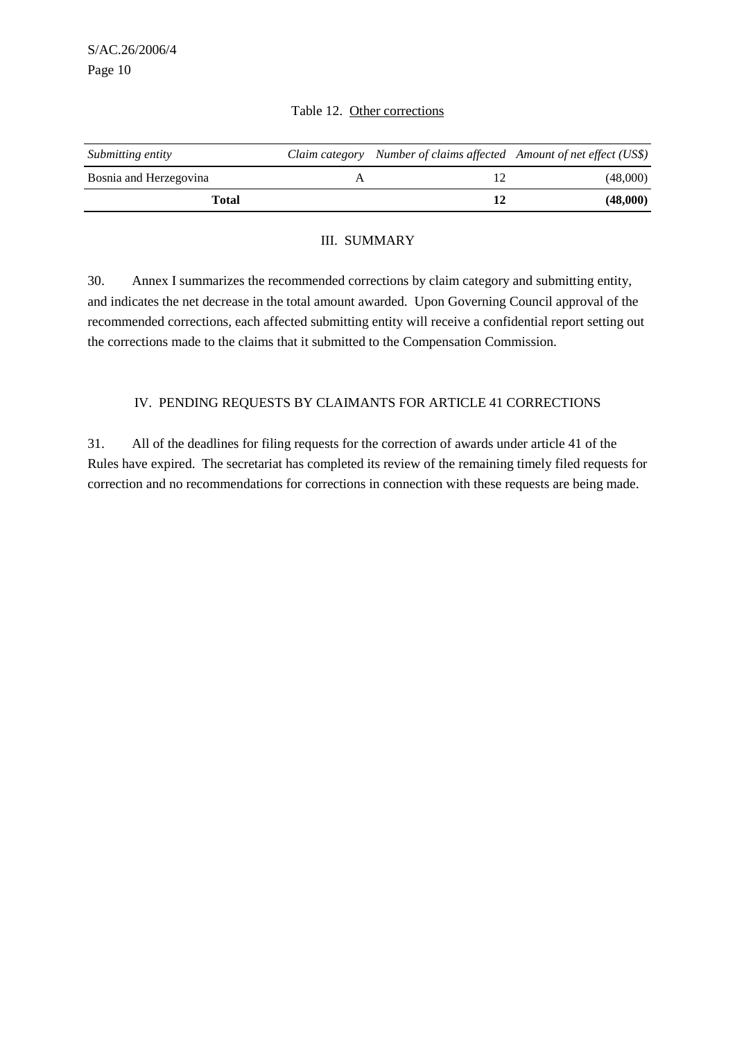| Submitting entity      | Claim category Number of claims affected Amount of net effect (US\$) |          |
|------------------------|----------------------------------------------------------------------|----------|
| Bosnia and Herzegovina |                                                                      | (48,000) |
| Total                  |                                                                      | (48,000) |

#### Table 12. Other corrections

#### III. SUMMARY

30. Annex I summarizes the recommended corrections by claim category and submitting entity, and indicates the net decrease in the total amount awarded. Upon Governing Council approval of the recommended corrections, each affected submitting entity will receive a confidential report setting out the corrections made to the claims that it submitted to the Compensation Commission.

### IV. PENDING REQUESTS BY CLAIMANTS FOR ARTICLE 41 CORRECTIONS

31. All of the deadlines for filing requests for the correction of awards under article 41 of the Rules have expired. The secretariat has completed its review of the remaining timely filed requests for correction and no recommendations for corrections in connection with these requests are being made.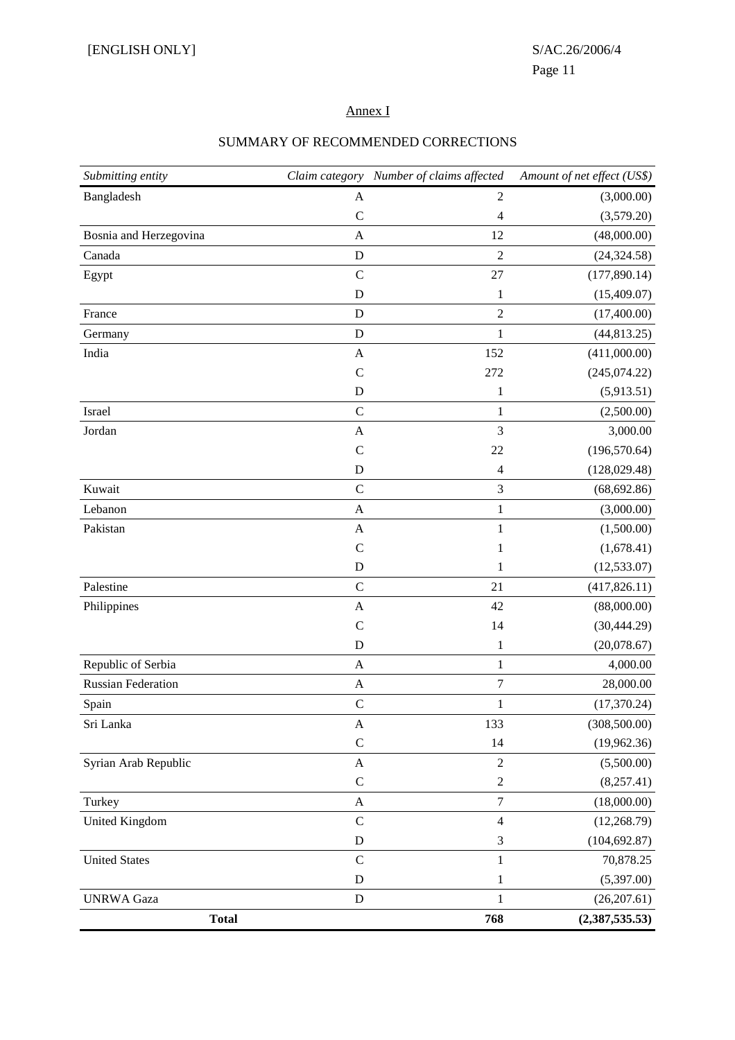#### Annex I

# *Submitting entity Claim category Number of claims affected Amount of net effect (US\$)*  $B$ angladesh  $A$   $2$   $(3,000.00)$ C  $4$  (3,579.20) Bosnia and Herzegovina A 12 (48,000.00) Canada **D** 2 (24,324.58) Egypt C 27 (177,890.14) D  $1$  (15,409.07) France **D** 2 (17,400.00) Germany D 1 (44,813.25) India 152 (411,000.00) C 272  $(245,074.22)$ D  $1$  (5,913.51)  $I$   $1$  (2,500.00)  $A$  3,000.00 C 22  $(196,570.64)$ D 4 (128,029.48) Kuwait C 3 (68,692.86)  $\mathbf{A}$  and  $\mathbf{A}$  1 (3,000.00) Pakistan  $A$  1 (1,500.00) C  $1$   $(1,678.41)$ D 1  $(12,533.07)$ Palestine C 21 (417,826.11) Philippines (88,000.00) A 42 (88,000.00) C  $14$   $(30,444.29)$ D  $1$  (20,078.67) Republic of Serbia **A** 1 4,000.00 Russian Federation **A** 7 28,000.00 Spain C 17,370.24) Sri Lanka (308,500.00) (308,500.00) (308,500.00) (308,500.00) C  $14$   $(19,962.36)$ Syrian Arab Republic A 2 (5,500.00) C 2  $(8,257.41)$ Turkey A 7 (18,000.00) United Kingdom C 4 (12,268.79) D 3 (104,692.87) United States **C** and  $\overline{C}$  and  $\overline{C}$  1 70,878.25 D  $1$  (5,397.00) UNRWA Gaza D 1 (26,207.61) **Total 768 (2,387,535.53)**

#### SUMMARY OF RECOMMENDED CORRECTIONS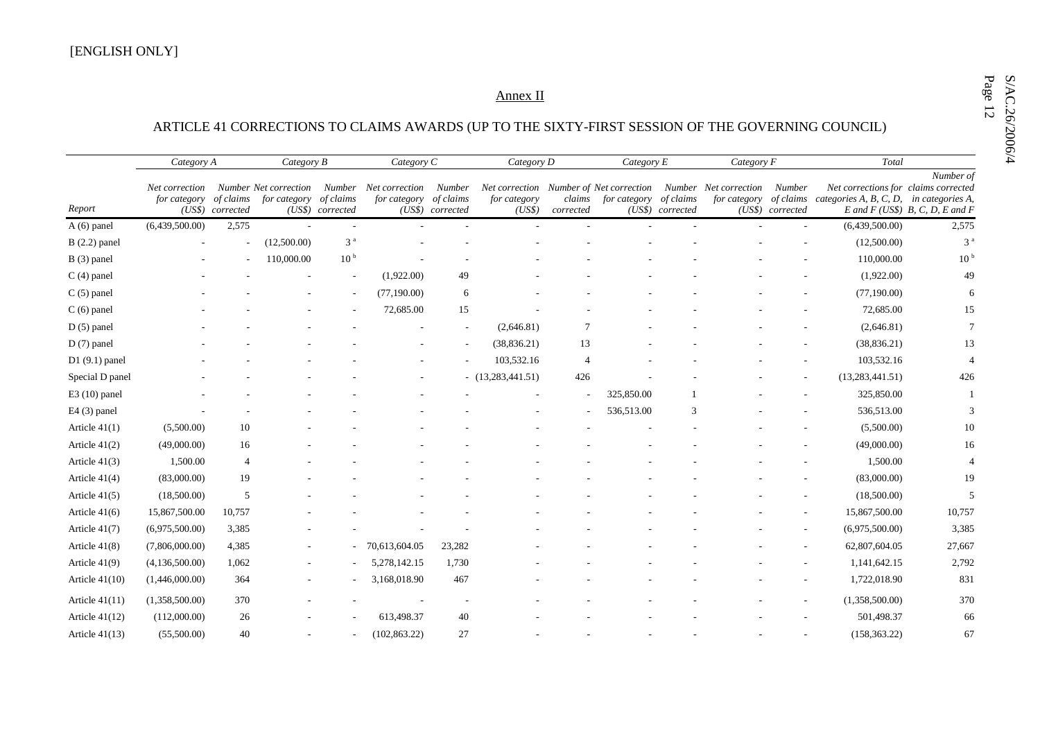# SMALL Annex II Annex II Annex II Annex II Annex II ARTICLE 41 CORRECTIONS TO CLAIMS AWARDS (UP TO THE SIXTY-FIRST SESSION OF THE GOVERNING COUNCIL)

|                  | Category A                     |                               | Category C<br>Category B              |                               |                                       |                                         | Category D             |                     |              | Category E                    |                                                                               | Category F                 | Total                                                                                     |                                                |
|------------------|--------------------------------|-------------------------------|---------------------------------------|-------------------------------|---------------------------------------|-----------------------------------------|------------------------|---------------------|--------------|-------------------------------|-------------------------------------------------------------------------------|----------------------------|-------------------------------------------------------------------------------------------|------------------------------------------------|
| Report           | Net correction<br>for category | of claims<br>(US\$) corrected | Number Net correction<br>for category | of claims<br>(US\$) corrected | Number Net correction<br>for category | Number<br>of claims<br>(US\$) corrected | for category<br>(US\$) | claims<br>corrected | for category | of claims<br>(US\$) corrected | Net correction Number of Net correction Number Net correction<br>for category | Number<br>(US\$) corrected | Net corrections for claims corrected<br>of claims categories A, B, C, D, in categories A, | Number of<br>E and $F$ (US\$) B, C, D, E and F |
| $A(6)$ panel     | (6,439,500.00)                 | 2,575                         |                                       |                               |                                       |                                         |                        |                     |              |                               |                                                                               |                            | (6,439,500.00)                                                                            | 2,575                                          |
| $B(2.2)$ panel   |                                |                               | (12,500.00)                           | 3 <sup>a</sup>                |                                       |                                         |                        |                     |              |                               |                                                                               |                            | (12,500.00)                                                                               | 3 <sup>a</sup>                                 |
| $B(3)$ panel     |                                |                               | 110,000.00                            | 10 <sup>b</sup>               |                                       |                                         |                        |                     |              |                               |                                                                               |                            | 110,000.00                                                                                | 10 <sup>b</sup>                                |
| $C(4)$ panel     |                                |                               |                                       |                               | (1,922.00)                            | 49                                      |                        |                     |              |                               |                                                                               |                            | (1,922.00)                                                                                | 49                                             |
| $C(5)$ panel     |                                |                               |                                       |                               | (77,190.00)                           | 6                                       |                        |                     |              |                               |                                                                               |                            | (77,190.00)                                                                               | 6                                              |
| $C(6)$ panel     |                                |                               |                                       |                               | 72,685.00                             | 15                                      |                        |                     |              |                               |                                                                               |                            | 72,685.00                                                                                 | 15                                             |
| $D(5)$ panel     |                                |                               |                                       |                               |                                       |                                         | (2,646.81)             |                     |              |                               |                                                                               |                            | (2,646.81)                                                                                | $\tau$                                         |
| $D(7)$ panel     |                                |                               |                                       |                               |                                       |                                         | (38, 836.21)           | 13                  |              |                               |                                                                               |                            | (38, 836.21)                                                                              | 13                                             |
| $D1(9.1)$ panel  |                                |                               |                                       |                               |                                       |                                         | 103,532.16             | $\overline{4}$      |              |                               |                                                                               |                            | 103,532.16                                                                                |                                                |
| Special D panel  |                                |                               |                                       |                               |                                       |                                         | $-$ (13,283,441.51)    | 426                 |              |                               |                                                                               |                            | (13, 283, 441.51)                                                                         | 426                                            |
| $E3(10)$ panel   |                                |                               |                                       |                               |                                       |                                         |                        |                     | 325,850.00   |                               |                                                                               |                            | 325,850.00                                                                                |                                                |
| $E4(3)$ panel    |                                |                               |                                       |                               |                                       |                                         |                        |                     | 536,513.00   | $\mathcal{R}$                 |                                                                               |                            | 536,513.00                                                                                |                                                |
| Article $41(1)$  | (5,500.00)                     | 10                            |                                       |                               |                                       |                                         |                        |                     |              |                               |                                                                               |                            | (5,500.00)                                                                                | 10                                             |
| Article $41(2)$  | (49,000.00)                    | 16                            |                                       |                               |                                       |                                         |                        |                     |              |                               |                                                                               |                            | (49,000.00)                                                                               | 16                                             |
| Article $41(3)$  | 1,500.00                       | $\overline{4}$                |                                       |                               |                                       |                                         |                        |                     |              |                               |                                                                               |                            | 1,500.00                                                                                  |                                                |
| Article $41(4)$  | (83,000.00)                    | 19                            |                                       |                               |                                       |                                         |                        |                     |              |                               |                                                                               |                            | (83,000.00)                                                                               | 19                                             |
| Article $41(5)$  | (18,500.00)                    | 5                             |                                       |                               |                                       |                                         |                        |                     |              |                               |                                                                               |                            | (18,500.00)                                                                               | 5                                              |
| Article $41(6)$  | 15,867,500.00                  | 10,757                        |                                       |                               |                                       |                                         |                        |                     |              |                               |                                                                               |                            | 15,867,500.00                                                                             | 10,757                                         |
| Article 41(7)    | (6,975,500.00)                 | 3,385                         |                                       |                               |                                       |                                         |                        |                     |              |                               |                                                                               |                            | (6,975,500.00)                                                                            | 3,385                                          |
| Article $41(8)$  | (7,806,000.00)                 | 4,385                         |                                       |                               | 70,613,604.05                         | 23,282                                  |                        |                     |              |                               |                                                                               |                            | 62,807,604.05                                                                             | 27,667                                         |
| Article 41(9)    | (4,136,500.00)                 | 1,062                         |                                       |                               | 5,278,142.15                          | 1,730                                   |                        |                     |              |                               |                                                                               |                            | 1,141,642.15                                                                              | 2,792                                          |
| Article $41(10)$ | (1,446,000.00)                 | 364                           |                                       |                               | 3,168,018.90                          | 467                                     |                        |                     |              |                               |                                                                               |                            | 1,722,018.90                                                                              | 831                                            |
| Article $41(11)$ | (1,358,500.00)                 | 370                           |                                       |                               |                                       |                                         |                        |                     |              |                               |                                                                               |                            | (1,358,500.00)                                                                            | 370                                            |
| Article $41(12)$ | (112,000.00)                   | 26                            |                                       |                               | 613,498.37                            | 40                                      |                        |                     |              |                               |                                                                               |                            | 501,498.37                                                                                | 66                                             |
| Article $41(13)$ | (55,500.00)                    | 40                            |                                       |                               | (102, 863.22)                         | 27                                      |                        |                     |              |                               |                                                                               |                            | (158, 363.22)                                                                             | 67                                             |